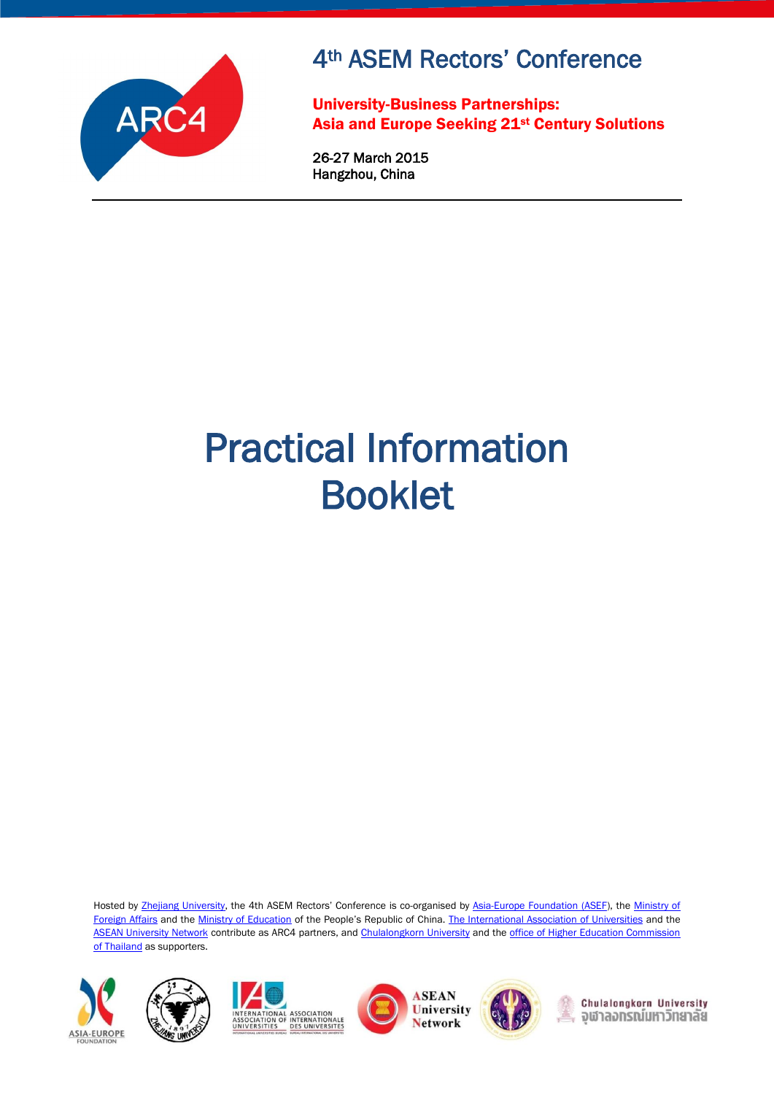

# 4th ASEM Rectors' Conference

University-Business Partnerships: Asia and Europe Seeking 21st Century Solutions

26-27 March 2015 Hangzhou, China

# Practical Information Booklet

Hosted by [Zhejiang University,](http://www.zju.edu.cn/english/) the 4th ASEM Rectors' Conference is co-organised by [Asia-Europe Foundation \(ASEF\)](http://www.asef.org/), th[e Ministry of](http://www.fmprc.gov.cn/mfa_eng/)  [Foreign Affairs](http://www.fmprc.gov.cn/mfa_eng/) and th[e Ministry of Education](http://www.moe.edu.cn/publicfiles/business/htmlfiles/moe/moe_2792/) of the People's Republic of China. [The International Association of Universities](http://www.iau-aiu.net/content/leadher) and the [ASEAN University Network](http://www.aunsec.org/) contribute as ARC4 partners, an[d Chulalongkorn University](http://www.chula.ac.th/en/) and the [office of Higher Education Commission](http://www.mua.go.th/)  [of Thailand](http://www.mua.go.th/) as supporters.











Chulalongkorn University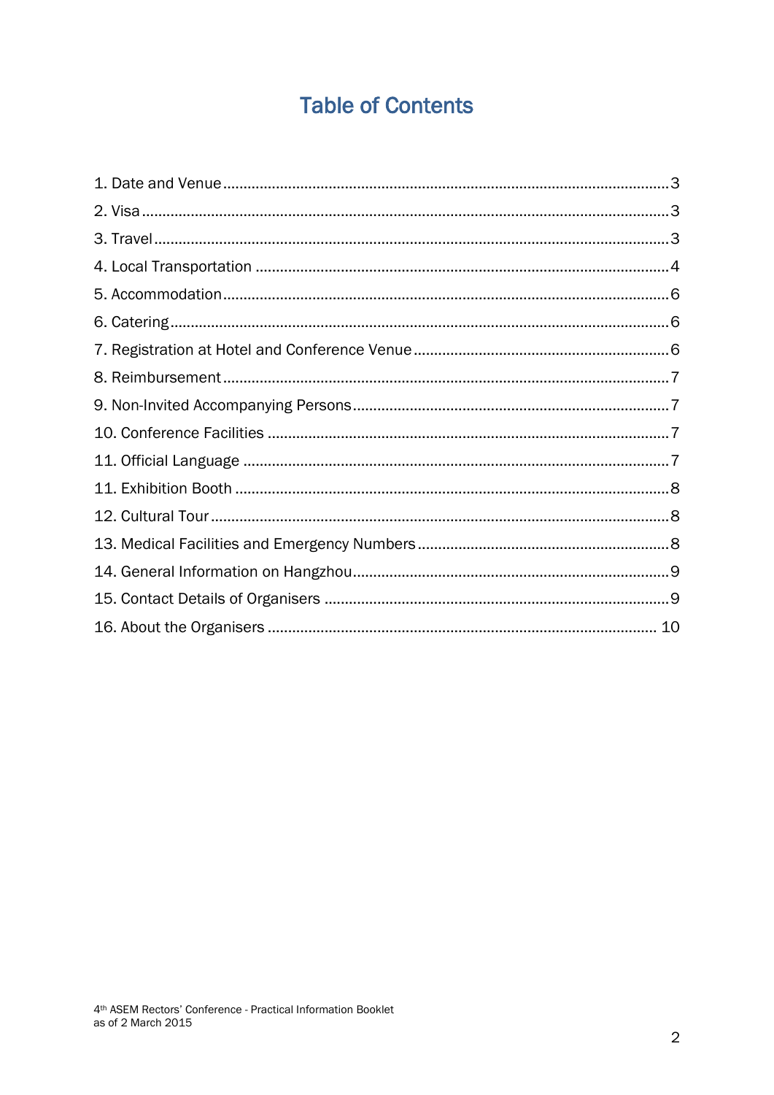## **Table of Contents**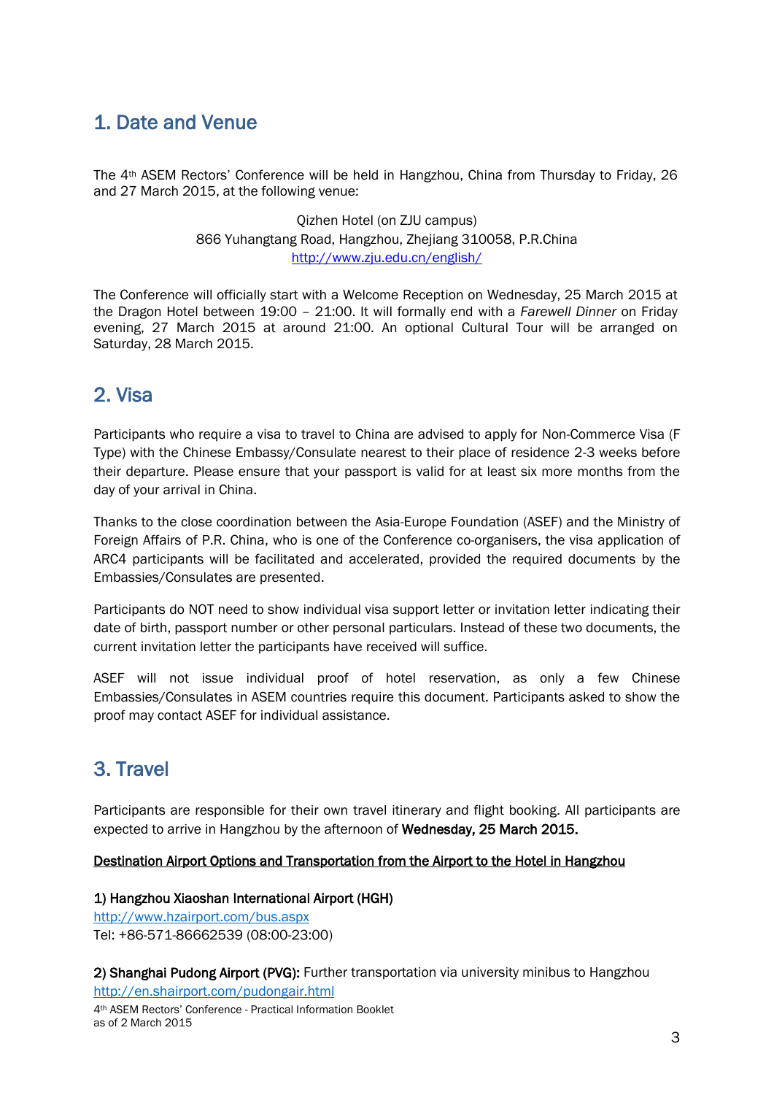### <span id="page-2-0"></span>1. Date and Venue

The 4th ASEM Rectors' Conference will be held in Hangzhou, China from Thursday to Friday, 26 and 27 March 2015, at the following venue:

> Qizhen Hotel (on ZJU campus) 866 Yuhangtang Road, Hangzhou, Zhejiang 310058, P.R.China <http://www.zju.edu.cn/english/>

The Conference will officially start with a Welcome Reception on Wednesday, 25 March 2015 at the Dragon Hotel between 19:00 – 21:00. It will formally end with a *Farewell Dinner* on Friday evening, 27 March 2015 at around 21:00. An optional Cultural Tour will be arranged on Saturday, 28 March 2015.

### <span id="page-2-1"></span>2. Visa

Participants who require a visa to travel to China are advised to apply for Non-Commerce Visa (F Type) with the Chinese Embassy/Consulate nearest to their place of residence 2-3 weeks before their departure. Please ensure that your passport is valid for at least six more months from the day of your arrival in China.

Thanks to the close coordination between the Asia-Europe Foundation (ASEF) and the Ministry of Foreign Affairs of P.R. China, who is one of the Conference co-organisers, the visa application of ARC4 participants will be facilitated and accelerated, provided the required documents by the Embassies/Consulates are presented.

Participants do NOT need to show individual visa support letter or invitation letter indicating their date of birth, passport number or other personal particulars. Instead of these two documents, the current invitation letter the participants have received will suffice.

ASEF will not issue individual proof of hotel reservation, as only a few Chinese Embassies/Consulates in ASEM countries require this document. Participants asked to show the proof may contact ASEF for individual assistance.

### <span id="page-2-2"></span>3. Travel

Participants are responsible for their own travel itinerary and flight booking. All participants are expected to arrive in Hangzhou by the afternoon of Wednesday, 25 March 2015.

#### Destination Airport Options and Transportation from the Airport to the Hotel in Hangzhou

#### 1) Hangzhou Xiaoshan International Airport (HGH)

<http://www.hzairport.com/bus.aspx> Tel: +86-571-86662539 (08:00-23:00)

2) Shanghai Pudong Airport (PVG): Further transportation via university minibus to Hangzhou <http://en.shairport.com/pudongair.html>

4th ASEM Rectors' Conference - Practical Information Booklet as of 2 March 2015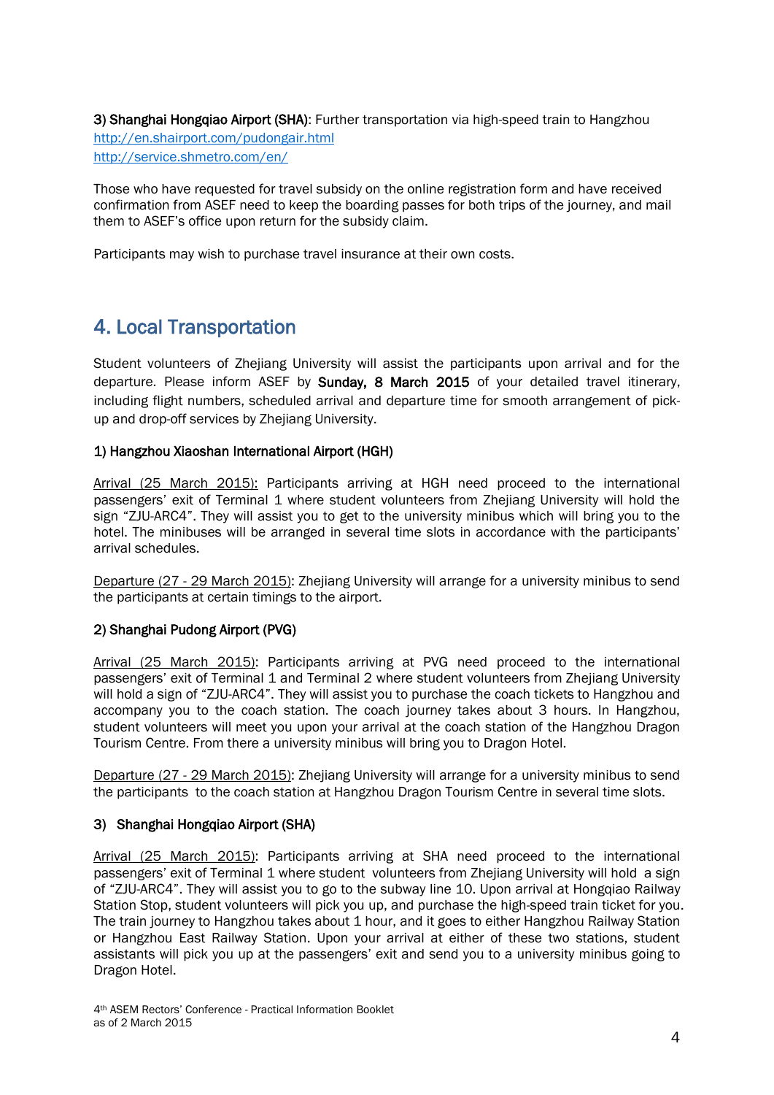3) Shanghai Hongqiao Airport (SHA): Further transportation via high-speed train to Hangzhou <http://en.shairport.com/pudongair.html> <http://service.shmetro.com/en/>

Those who have requested for travel subsidy on the online registration form and have received confirmation from ASEF need to keep the boarding passes for both trips of the journey, and mail them to ASEF's office upon return for the subsidy claim.

<span id="page-3-0"></span>Participants may wish to purchase travel insurance at their own costs.

### 4. Local Transportation

Student volunteers of Zhejiang University will assist the participants upon arrival and for the departure. Please inform ASEF by Sunday, 8 March 2015 of your detailed travel itinerary, including flight numbers, scheduled arrival and departure time for smooth arrangement of pickup and drop-off services by Zhejiang University.

#### 1) Hangzhou Xiaoshan International Airport (HGH)

Arrival (25 March 2015): Participants arriving at HGH need proceed to the international passengers' exit of Terminal 1 where student volunteers from Zhejiang University will hold the sign "ZJU-ARC4". They will assist you to get to the university minibus which will bring you to the hotel. The minibuses will be arranged in several time slots in accordance with the participants' arrival schedules.

Departure (27 - 29 March 2015): Zhejiang University will arrange for a university minibus to send the participants at certain timings to the airport.

#### 2) Shanghai Pudong Airport (PVG)

Arrival (25 March 2015): Participants arriving at PVG need proceed to the international passengers' exit of Terminal 1 and Terminal 2 where student volunteers from Zhejiang University will hold a sign of "ZJU-ARC4". They will assist you to purchase the coach tickets to Hangzhou and accompany you to the coach station. The coach journey takes about 3 hours. In Hangzhou, student volunteers will meet you upon your arrival at the coach station of the Hangzhou Dragon Tourism Centre. From there a university minibus will bring you to Dragon Hotel.

Departure (27 - 29 March 2015): Zhejiang University will arrange for a university minibus to send the participants to the coach station at Hangzhou Dragon Tourism Centre in several time slots.

#### 3) Shanghai Hongqiao Airport (SHA)

Arrival (25 March 2015): Participants arriving at SHA need proceed to the international passengers' exit of Terminal 1 where student volunteers from Zhejiang University will hold a sign of "ZJU-ARC4". They will assist you to go to the subway line 10. Upon arrival at Hongqiao Railway Station Stop, student volunteers will pick you up, and purchase the high-speed train ticket for you. The train journey to Hangzhou takes about 1 hour, and it goes to either Hangzhou Railway Station or Hangzhou East Railway Station. Upon your arrival at either of these two stations, student assistants will pick you up at the passengers' exit and send you to a university minibus going to Dragon Hotel.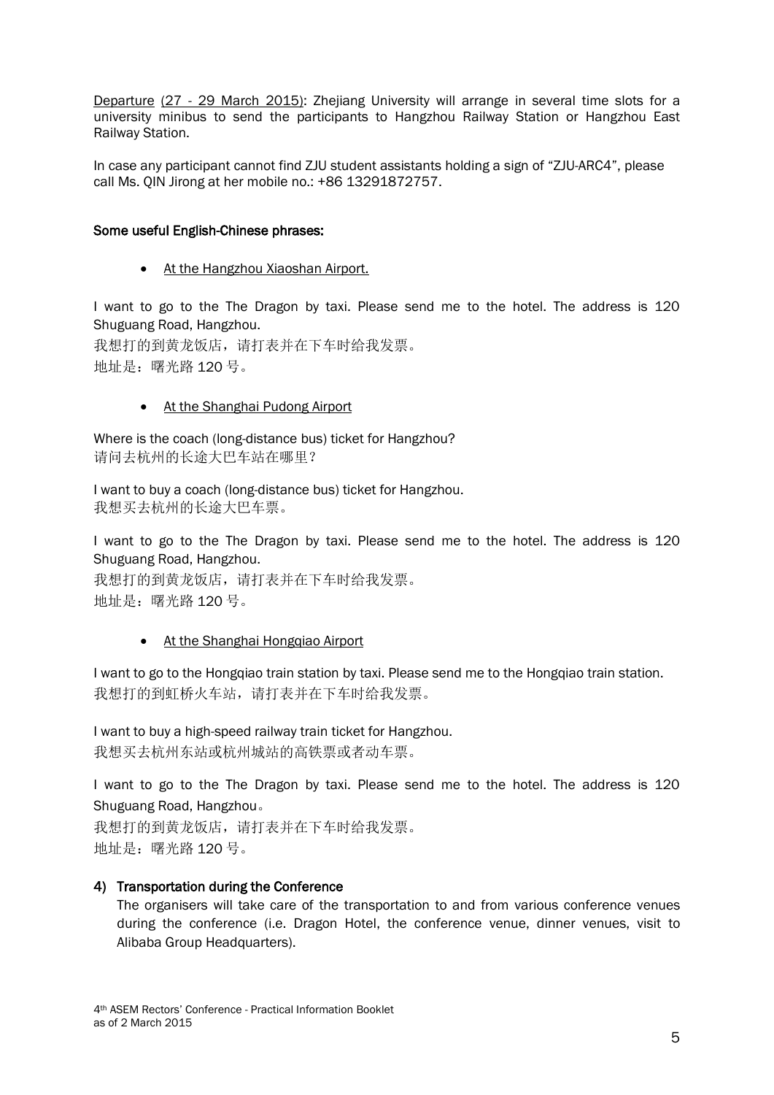Departure (27 - 29 March 2015): Zhejiang University will arrange in several time slots for a university minibus to send the participants to Hangzhou Railway Station or Hangzhou East Railway Station.

In case any participant cannot find ZJU student assistants holding a sign of "ZJU-ARC4", please call Ms. QIN Jirong at her mobile no.: +86 13291872757.

#### Some useful English-Chinese phrases:

• At the Hangzhou Xiaoshan Airport.

I want to go to the The Dragon by taxi. Please send me to the hotel. The address is 120 Shuguang Road, Hangzhou.

我想打的到黄龙饭店,请打表并在下车时给我发票。 地址是:曙光路 120 号。

#### • At the Shanghai Pudong Airport

Where is the coach (long-distance bus) ticket for Hangzhou? 请问去杭州的长途大巴车站在哪里?

I want to buy a coach (long-distance bus) ticket for Hangzhou. 我想买去杭州的长途大巴车票。

I want to go to the The Dragon by taxi. Please send me to the hotel. The address is 120 Shuguang Road, Hangzhou.

我想打的到黄龙饭店,请打表并在下车时给我发票。 地址是:曙光路 120 号。

#### • At the Shanghai Hongqiao Airport

I want to go to the Hongqiao train station by taxi. Please send me to the Hongqiao train station. 我想打的到虹桥火车站,请打表并在下车时给我发票。

I want to buy a high-speed railway train ticket for Hangzhou. 我想买去杭州东站或杭州城站的高铁票或者动车票。

I want to go to the The Dragon by taxi. Please send me to the hotel. The address is 120 Shuguang Road, Hangzhou。

我想打的到黄龙饭店,请打表并在下车时给我发票。 地址是:曙光路 120 号。

#### 4) Transportation during the Conference

The organisers will take care of the transportation to and from various conference venues during the conference (i.e. Dragon Hotel, the conference venue, dinner venues, visit to Alibaba Group Headquarters).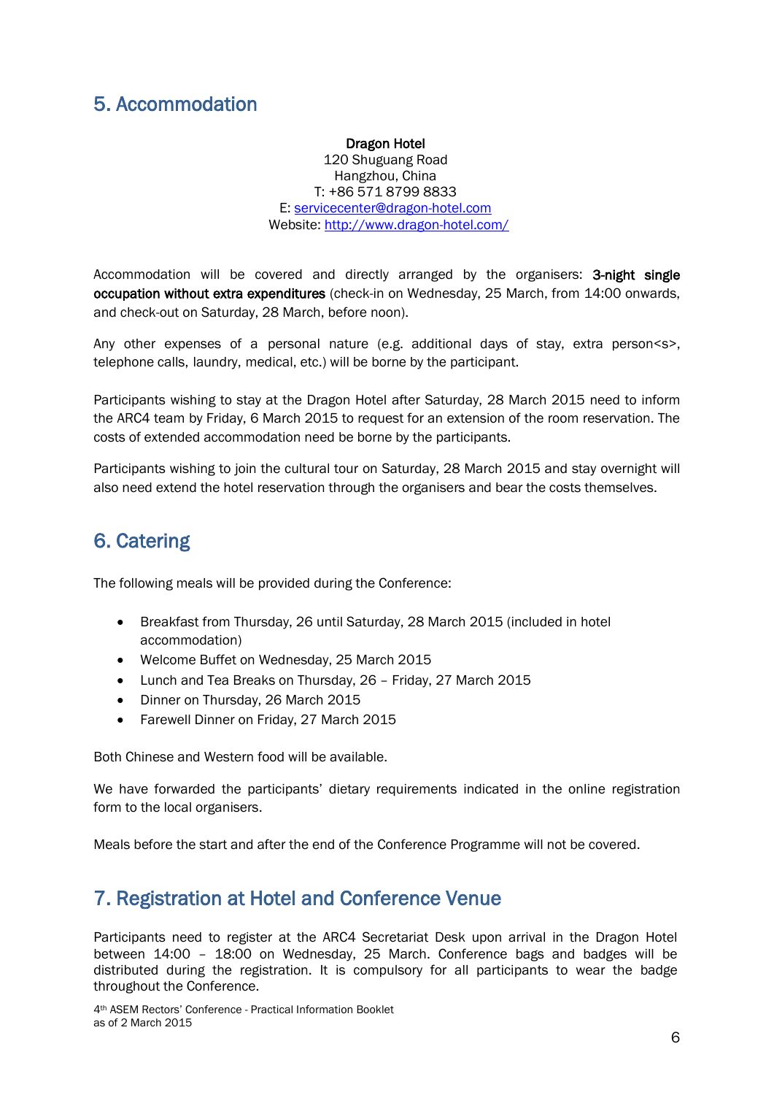### <span id="page-5-0"></span>5. Accommodation

#### Dragon Hotel

120 Shuguang Road Hangzhou, China T: +86 571 8799 8833 E: [servicecenter@dragon-hotel.com](mailto:servicecenter@dragon-hotel.com) Website: <http://www.dragon-hotel.com/>

Accommodation will be covered and directly arranged by the organisers: 3-night single occupation without extra expenditures (check-in on Wednesday, 25 March, from 14:00 onwards, and check-out on Saturday, 28 March, before noon).

Any other expenses of a personal nature (e.g. additional days of stay, extra person<s>, telephone calls, laundry, medical, etc.) will be borne by the participant.

Participants wishing to stay at the Dragon Hotel after Saturday, 28 March 2015 need to inform the ARC4 team by Friday, 6 March 2015 to request for an extension of the room reservation. The costs of extended accommodation need be borne by the participants.

Participants wishing to join the cultural tour on Saturday, 28 March 2015 and stay overnight will also need extend the hotel reservation through the organisers and bear the costs themselves.

### <span id="page-5-1"></span>6. Catering

The following meals will be provided during the Conference:

- Breakfast from Thursday, 26 until Saturday, 28 March 2015 (included in hotel accommodation)
- Welcome Buffet on Wednesday, 25 March 2015
- Lunch and Tea Breaks on Thursday, 26 Friday, 27 March 2015
- Dinner on Thursday, 26 March 2015
- Farewell Dinner on Friday, 27 March 2015

Both Chinese and Western food will be available.

We have forwarded the participants' dietary requirements indicated in the online registration form to the local organisers.

<span id="page-5-2"></span>Meals before the start and after the end of the Conference Programme will not be covered.

### 7. Registration at Hotel and Conference Venue

Participants need to register at the ARC4 Secretariat Desk upon arrival in the Dragon Hotel between 14:00 – 18:00 on Wednesday, 25 March. Conference bags and badges will be distributed during the registration. It is compulsory for all participants to wear the badge throughout the Conference.

4th ASEM Rectors' Conference - Practical Information Booklet as of 2 March 2015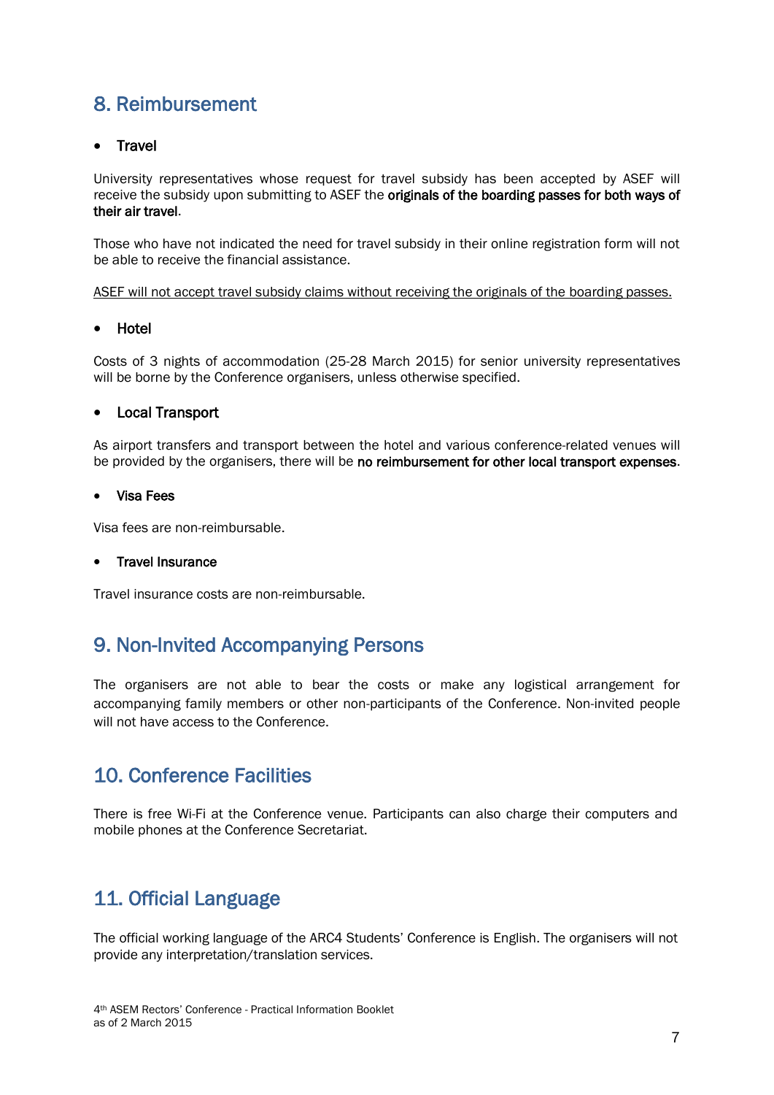### <span id="page-6-0"></span>8. Reimbursement

#### • Travel

University representatives whose request for travel subsidy has been accepted by ASEF will receive the subsidy upon submitting to ASEF the originals of the boarding passes for both ways of their air travel.

Those who have not indicated the need for travel subsidy in their online registration form will not be able to receive the financial assistance.

ASEF will not accept travel subsidy claims without receiving the originals of the boarding passes.

#### • Hotel

Costs of 3 nights of accommodation (25-28 March 2015) for senior university representatives will be borne by the Conference organisers, unless otherwise specified.

#### Local Transport

As airport transfers and transport between the hotel and various conference-related venues will be provided by the organisers, there will be no reimbursement for other local transport expenses.

#### Visa Fees

Visa fees are non-reimbursable.

#### • Travel Insurance

<span id="page-6-1"></span>Travel insurance costs are non-reimbursable.

### 9. Non-Invited Accompanying Persons

The organisers are not able to bear the costs or make any logistical arrangement for accompanying family members or other non-participants of the Conference. Non-invited people will not have access to the Conference.

### <span id="page-6-2"></span>10. Conference Facilities

There is free Wi-Fi at the Conference venue. Participants can also charge their computers and mobile phones at the Conference Secretariat.

### <span id="page-6-3"></span>11. Official Language

The official working language of the ARC4 Students' Conference is English. The organisers will not provide any interpretation/translation services.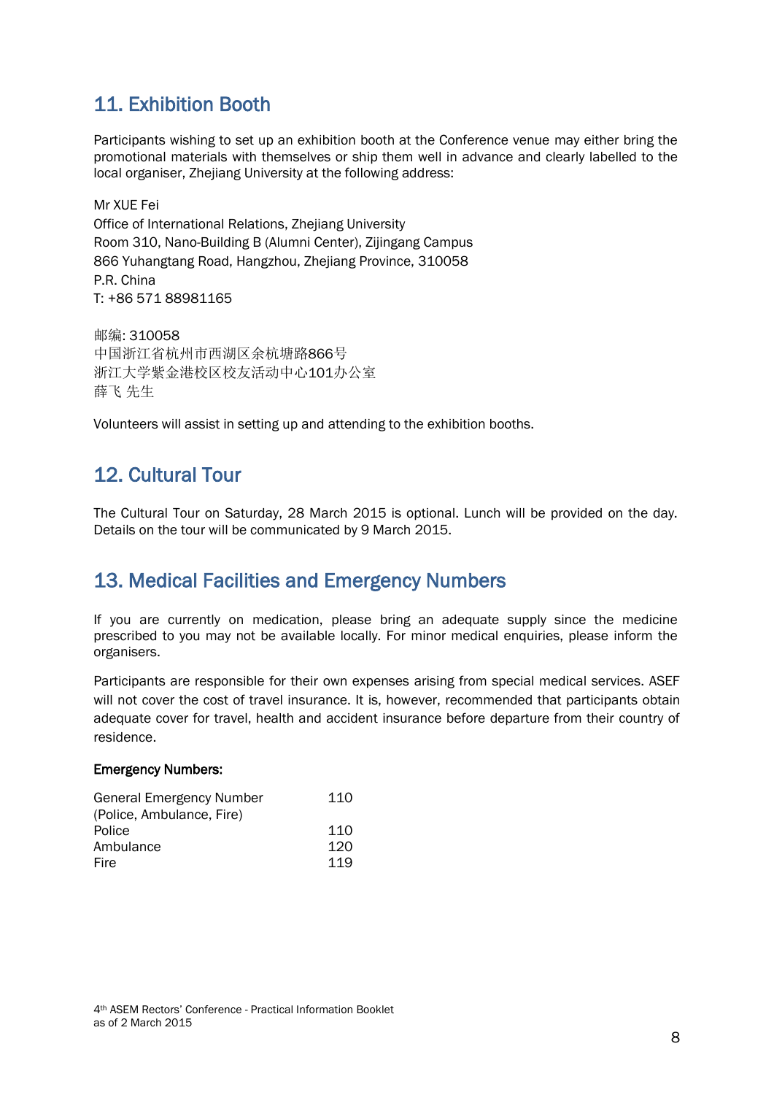### <span id="page-7-0"></span>11. Exhibition Booth

Participants wishing to set up an exhibition booth at the Conference venue may either bring the promotional materials with themselves or ship them well in advance and clearly labelled to the local organiser, Zhejiang University at the following address:

Mr XUE Fei Office of International Relations, Zhejiang University Room 310, Nano-Building B (Alumni Center), Zijingang Campus 866 Yuhangtang Road, Hangzhou, Zhejiang Province, 310058 P.R. China T: +86 571 88981165

邮编: 310058 中国浙江省杭州市西湖区余杭塘路866号 浙江大学紫金港校区校友活动中心101办公室 薛飞 先生

<span id="page-7-1"></span>Volunteers will assist in setting up and attending to the exhibition booths.

### 12. Cultural Tour

The Cultural Tour on Saturday, 28 March 2015 is optional. Lunch will be provided on the day. Details on the tour will be communicated by 9 March 2015.

### <span id="page-7-2"></span>13. Medical Facilities and Emergency Numbers

If you are currently on medication, please bring an adequate supply since the medicine prescribed to you may not be available locally. For minor medical enquiries, please inform the organisers.

Participants are responsible for their own expenses arising from special medical services. ASEF will not cover the cost of travel insurance. It is, however, recommended that participants obtain adequate cover for travel, health and accident insurance before departure from their country of residence.

#### Emergency Numbers:

<span id="page-7-3"></span>

| <b>General Emergency Number</b> | 110 |
|---------------------------------|-----|
| (Police, Ambulance, Fire)       |     |
| Police                          | 110 |
| Ambulance                       | 120 |
| Fire                            | 119 |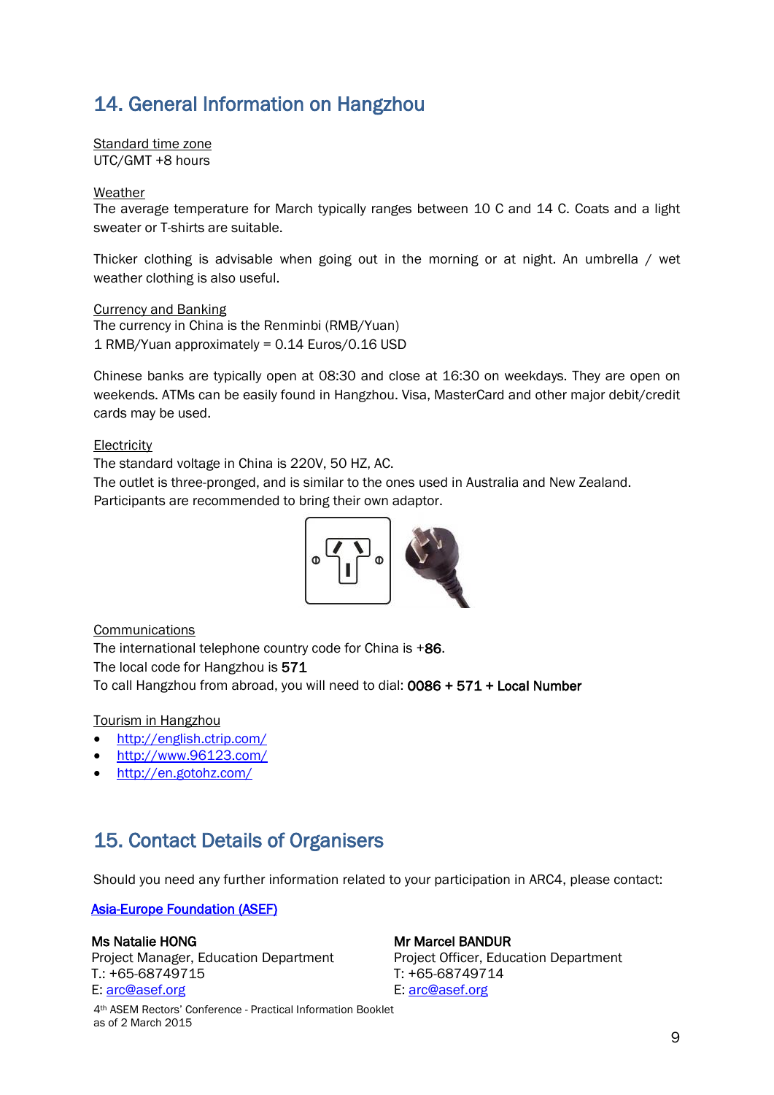### 14. General Information on Hangzhou

Standard time zone UTC/GMT +8 hours

#### Weather

The average temperature for March typically ranges between 10 C and 14 C. Coats and a light sweater or T-shirts are suitable.

Thicker clothing is advisable when going out in the morning or at night. An umbrella / wet weather clothing is also useful.

Currency and Banking The currency in China is the Renminbi (RMB/Yuan) 1 RMB/Yuan approximately = 0.14 Euros/0.16 USD

Chinese banks are typically open at 08:30 and close at 16:30 on weekdays. They are open on weekends. ATMs can be easily found in Hangzhou. Visa, MasterCard and other major debit/credit cards may be used.

#### **Electricity**

The standard voltage in China is 220V, 50 HZ, AC.

The outlet is three-pronged, and is similar to the ones used in Australia and New Zealand. Participants are recommended to bring their own adaptor.



**Communications** 

The international telephone country code for China is +86. The local code for Hangzhou is 571 To call Hangzhou from abroad, you will need to dial: 0086 + 571 + Local Number

#### Tourism in Hangzhou

- <http://english.ctrip.com/>
- <http://www.96123.com/>
- <http://en.gotohz.com/>

### <span id="page-8-0"></span>15. Contact Details of Organisers

Should you need any further information related to your participation in ARC4, please contact:

#### [Asia-Europe Foundation \(ASEF\)](http://asef.org/)

#### Ms Natalie HONG

Project Manager, Education Department T.: +65-68749715 E: [arc@asef.org](mailto:arc@asef.org)

#### 4th ASEM Rectors' Conference - Practical Information Booklet as of 2 March 2015

#### Mr Marcel BANDUR

Project Officer, Education Department T: +65-68749714 E: [arc@asef.org](mailto:arc@asef.org)